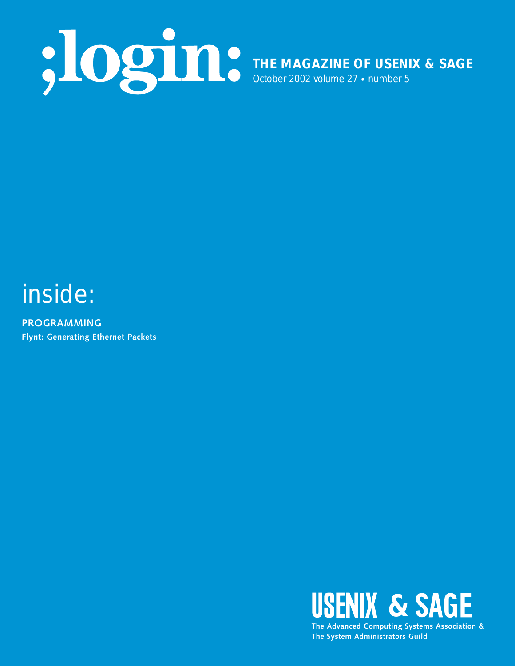

## inside:

**PROGRAMMING Flynt: Generating Ethernet Packets**



**The System Administrators Guild**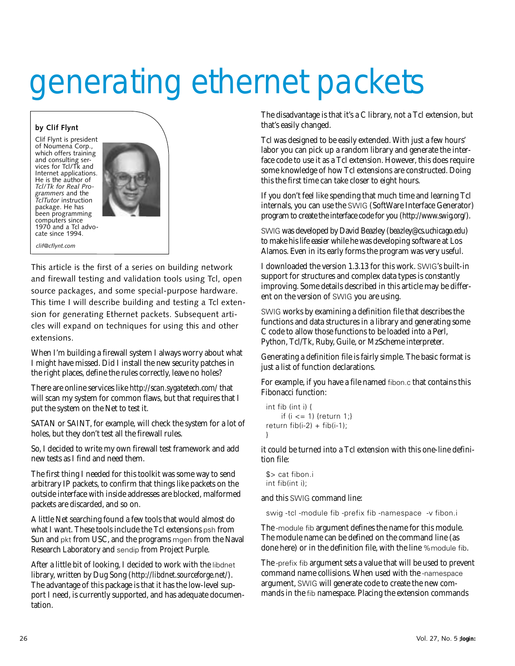# generating ethernet packets

#### **by Clif Flynt**

Clif Flynt is president of Noumena Corp., which offers training and consulting services for Tcl/Tk and Internet applications. He is the author of *Tcl/Tk for Real Programmers* and the *TclTutor* instruction package. He has been programming computers since 1970 and a Tcl advo-cate since 1994.



*clif@cflynt.com*

This article is the first of a series on building network and firewall testing and validation tools using Tcl, open source packages, and some special-purpose hardware. This time I will describe building and testing a Tcl extension for generating Ethernet packets. Subsequent articles will expand on techniques for using this and other extensions.

When I'm building a firewall system I always worry about what I might have missed. Did I install the new security patches in the right places, define the rules correctly, leave no holes?

There are online services like *<http://scan.sygatetech.com/>* that will scan my system for common flaws, but that requires that I put the system on the Net to test it.

SATAN or SAINT, for example, will check the system for a lot of holes, but they don't test all the firewall rules.

So, I decided to write my own firewall test framework and add new tests as I find and need them.

The first thing I needed for this toolkit was some way to send arbitrary IP packets, to confirm that things like packets on the outside interface with inside addresses are blocked, malformed packets are discarded, and so on.

A little Net searching found a few tools that would almost do what I want. These tools include the Tcl extensions psh from Sun and pkt from USC, and the programs mgen from the Naval Research Laboratory and sendip from Project Purple.

After a little bit of looking, I decided to work with the libdnet library, written by Dug Song (*<http://libdnet.sourceforge.net/>*). The advantage of this package is that it has the low-level support I need, is currently supported, and has adequate documentation.

The disadvantage is that it's a C library, not a Tcl extension, but that's easily changed.

Tcl was designed to be easily extended. With just a few hours' labor you can pick up a random library and generate the interface code to use it as a Tcl extension. However, this does require some knowledge of how Tcl extensions are constructed. Doing this the first time can take closer to eight hours.

If you don't feel like spending that much time and learning Tcl internals, you can use the SWIG (SoftWare Interface Generator) program to create the interface code for you (*<http://www.swig.org/>*).

SWIG was developed by David Beazley (*beazley@cs.uchicago.edu*) to make his life easier while he was developing software at Los Alamos. Even in its early forms the program was very useful.

I downloaded the version 1.3.13 for this work. SWIG's built-in support for structures and complex data types is constantly improving. Some details described in this article may be different on the version of SWIG you are using.

SWIG works by examining a definition file that describes the functions and data structures in a library and generating some C code to allow those functions to be loaded into a Perl, Python, Tcl/Tk, Ruby, Guile, or MzScheme interpreter.

Generating a definition file is fairly simple. The basic format is just a list of function declarations.

For example, if you have a file named fibon.c that contains this Fibonacci function:

```
int fib (int i) {
    if (i <= 1) {return 1;}
return fib(i-2) + fib(i-1);}
```
it could be turned into a Tcl extension with this one-line definition file:

\$> cat fibon.i int fib(int i);

and this SWIG command line:

swig -tcl -module fib -prefix fib -namespace -v fibon.i

The -module fib argument defines the name for this module. The module name can be defined on the command line (as done here) or in the definition file, with the line %module fib.

The -prefix fib argument sets a value that will be used to prevent command name collisions. When used with the -namespace argument, SWIG will generate code to create the new commands in the fib namespace. Placing the extension commands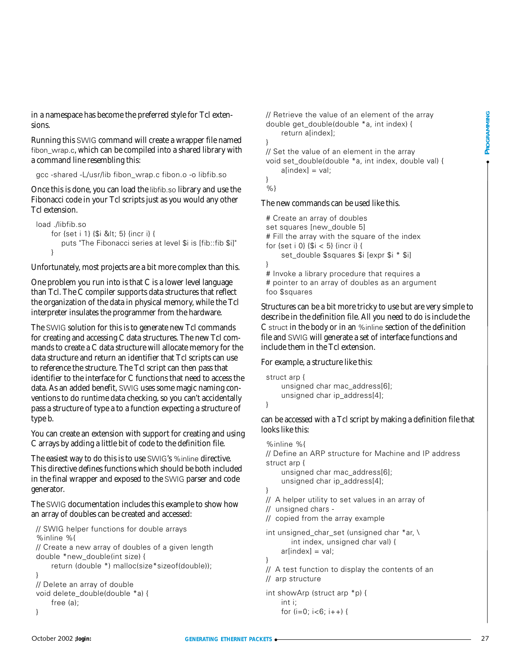in a namespace has become the preferred style for Tcl extensions.

Running this SWIG command will create a wrapper file named fibon\_wrap.c, which can be compiled into a shared library with a command line resembling this:

gcc -shared -L/usr/lib fibon\_wrap.c fibon.o -o libfib.so

Once this is done, you can load the libfib.so library and use the Fibonacci code in your Tcl scripts just as you would any other Tcl extension.

```
load ./libfib.so
    for {set i 1} {$i < 5} {incr i} {
       puts "The Fibonacci series at level $i is [fib::fib $i]"
    }
```
Unfortunately, most projects are a bit more complex than this.

One problem you run into is that C is a lower level language than Tcl. The C compiler supports data structures that reflect the organization of the data in physical memory, while the Tcl interpreter insulates the programmer from the hardware.

The SWIG solution for this is to generate new Tcl commands for creating and accessing C data structures. The new Tcl commands to create a C data structure will allocate memory for the data structure and return an identifier that Tcl scripts can use to reference the structure. The Tcl script can then pass that identifier to the interface for C functions that need to access the data. As an added benefit, SWIG uses some magic naming conventions to do runtime data checking, so you can't accidentally pass a structure of type a to a function expecting a structure of type b.

You can create an extension with support for creating and using C arrays by adding a little bit of code to the definition file.

The easiest way to do this is to use SWIG's %inline directive. This directive defines functions which should be both included in the final wrapper and exposed to the SWIG parser and code generator.

The SWIG documentation includes this example to show how an array of doubles can be created and accessed:

```
// SWIG helper functions for double arrays
%inline %{
// Create a new array of doubles of a given length
double *new_double(int size) {
    return (double *) malloc(size*sizeof(double));
}
// Delete an array of double
void delete_double(double *a) {
    free (a);
}
```
// Retrieve the value of an element of the array double get\_double(double \*a, int index) { return a[index];

// Set the value of an element in the array void set\_double(double \*a, int index, double val) {  $a[index] = val;$ 

} %}

}

#### The new commands can be used like this.

# Create an array of doubles set squares [new\_double 5] # Fill the array with the square of the index for {set i 0} {\$i < 5} {incr i} { set\_double \$squares \$i [expr \$i \* \$i] } # Invoke a library procedure that requires a

# pointer to an array of doubles as an argument foo \$squares

Structures can be a bit more tricky to use but are very simple to describe in the definition file. All you need to do is include the C struct in the body or in an %inline section of the definition file and SWIG will generate a set of interface functions and include them in the Tcl extension.

#### For example, a structure like this:

```
struct arp {
    unsigned char mac_address[6];
    unsigned char ip_address[4];
```
}

can be accessed with a Tcl script by making a definition file that looks like this:

```
Solution to the model of the streamental particles of the streament of the strength on the strength on the strength on the strength of the strength of the strength of the strength of the strength of the strength of the st
                             %inline %{
                            // Define an ARP structure for Machine and IP address
                            struct arp {
                                  unsigned char mac_address[6];
                                  unsigned char ip_address[4];
                            } 
                            // A helper utility to set values in an array of 
                            // unsigned chars - 
                            // copied from the array example
                            int unsigned_char_set (unsigned char *ar, \
                                     int index, unsigned char val) {
                                  ar[index] = val;}
                            // A test function to display the contents of an 
                            // arp structure
                            int showArp (struct arp *p) {
                                  int i;
                                  for (i=0; i<6; i++) {
```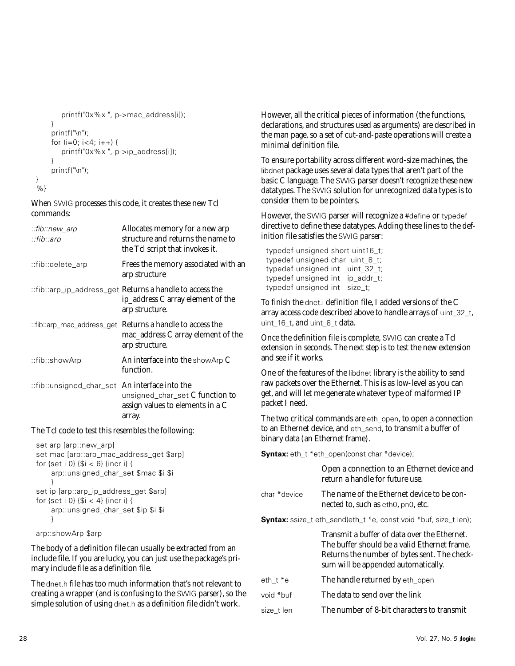```
printf("0x%x ", p->mac_address[i]);
    }
    printf("\n");
    for (i=0; i<4; i++) {
       printf("0x%x ", p->ip_address[i]);
    }
    printf("\n");
%}
```
}

When SWIG processes this code, it creates these new Tcl commands:

| ::fib::new_arp<br>∷fib∴arp                     | Allocates memory for a new arp<br>structure and returns the name to<br>the Tcl script that invokes it.            |
|------------------------------------------------|-------------------------------------------------------------------------------------------------------------------|
| ::fib::delete_arp:                             | Frees the memory associated with an<br>arp structure                                                              |
|                                                | ::fib::arp_ip_address_get Returns a handle to access the<br>ip_address C array element of the<br>arp structure.   |
|                                                | ::fib::arp_mac_address_get Returns a handle to access the<br>mac_address C array element of the<br>arp structure. |
| ::fib::showArp                                 | An interface into the showArp C<br>function.                                                                      |
| ::fib::unsigned_char_set An interface into the | unsigned_char_set C function to<br>assign values to elements in a C<br>array.                                     |

#### The Tcl code to test this resembles the following:

```
set arp [arp::new_arp]
set mac [arp::arp_mac_address_get $arp]
for \{set i 0\} \{Si < 6\} {incr i} {
    arp::unsigned_char_set $mac $i $i
    }
set ip [arp::arp_ip_address_get $arp]
for \{ set i 0\} \{ $i < 4$ \} {incr i} {
    arp::unsigned_char_set $ip $i $i
    }
```

```
arp::showArp $arp
```
The body of a definition file can usually be extracted from an include file. If you are lucky, you can just use the package's primary include file as a definition file.

The dnet.h file has too much information that's not relevant to creating a wrapper (and is confusing to the SWIG parser), so the simple solution of using dnet.h as a definition file didn't work.

However, all the critical pieces of information (the functions, declarations, and structures used as arguments) are described in the man page, so a set of cut-and-paste operations will create a minimal definition file.

To ensure portability across different word-size machines, the libdnet package uses several data types that aren't part of the basic C language. The SWIG parser doesn't recognize these new datatypes. The SWIG solution for unrecognized data types is to consider them to be pointers.

However, the SWIG parser will recognize a #define or typedef directive to define these datatypes. Adding these lines to the definition file satisfies the SWIG parser:

typedef unsigned short uint16\_t; typedef unsigned char uint\_8\_t; typedef unsigned int uint\_32\_t; typedef unsigned int ip\_addr\_t; typedef unsigned int size\_t;

To finish the dnet.i definition file, I added versions of the C array access code described above to handle arrays of uint\_32\_t, uint\_16\_t, and uint\_8\_t data.

Once the definition file is complete, SWIG can create a Tcl extension in seconds. The next step is to test the new extension and see if it works.

One of the features of the libdnet library is the ability to send raw packets over the Ethernet. This is as low-level as you can get, and will let me generate whatever type of malformed IP packet I need.

The two critical commands are eth\_open, to open a connection to an Ethernet device, and eth\_send, to transmit a buffer of binary data (an Ethernet frame).

**Syntax:** eth\_t \*eth\_open(const char \*device);

|                                                                  | Open a connection to an Ethernet device and<br>return a handle for future use.                                                                                                      |  |  |  |
|------------------------------------------------------------------|-------------------------------------------------------------------------------------------------------------------------------------------------------------------------------------|--|--|--|
| char *device                                                     | The name of the Ethernet device to be con-<br>nected to, such as eth0, pn0, etc.                                                                                                    |  |  |  |
| Syntax: ssize_t eth_send(eth_t *e, const void *buf, size_t len); |                                                                                                                                                                                     |  |  |  |
|                                                                  | Transmit a buffer of data over the Ethernet.<br>The buffer should be a valid Ethernet frame.<br>Returns the number of bytes sent. The check-<br>sum will be appended automatically. |  |  |  |
| eth t *e                                                         | The handle returned by eth_open                                                                                                                                                     |  |  |  |
| void *buf                                                        | The data to send over the link                                                                                                                                                      |  |  |  |
| size t len                                                       | The number of 8-bit characters to transmit                                                                                                                                          |  |  |  |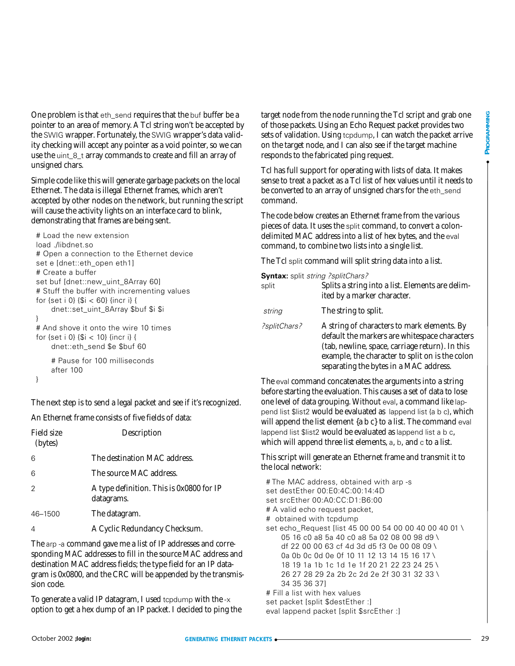One problem is that eth\_send requires that the buf buffer be a pointer to an area of memory. A Tcl string won't be accepted by the SWIG wrapper. Fortunately, the SWIG wrapper's data validity checking will accept any pointer as a void pointer, so we can use the uint\_8\_t array commands to create and fill an array of unsigned chars.

Simple code like this will generate garbage packets on the local Ethernet. The data is illegal Ethernet frames, which aren't accepted by other nodes on the network, but running the script will cause the activity lights on an interface card to blink, demonstrating that frames are being sent.

```
# Load the new extension
load ./libdnet.so
# Open a connection to the Ethernet device
set e [dnet::eth_open eth1]
# Create a buffer
set buf [dnet::new_uint_8Array 60]
# Stuff the buffer with incrementing values
for {set i 0} {$i < 60} {incr i} {
    dnet::set_uint_8Array $buf $i $i
}
# And shove it onto the wire 10 times
for {set i 0} {$i < 10} {incr i} {
    dnet::eth_send $e $buf 60
    # Pause for 100 milliseconds
    after 100
```

```
}
```
The next step is to send a legal packet and see if it's recognized.

An Ethernet frame consists of five fields of data:

| Field size<br>(bytes) | Description                                            |  |
|-----------------------|--------------------------------------------------------|--|
| 6                     | The destination MAC address.                           |  |
| 6                     | The source MAC address.                                |  |
| $\overline{2}$        | A type definition. This is 0x0800 for IP<br>datagrams. |  |
| 46-1500               | The datagram.                                          |  |
| $\overline{4}$        | A Cyclic Redundancy Checksum.                          |  |

The arp -a command gave me a list of IP addresses and corresponding MAC addresses to fill in the source MAC address and destination MAC address fields; the type field for an IP datagram is 0x0800, and the CRC will be appended by the transmission code.

To generate a valid IP datagram, I used tcpdump with the  $-x$ option to get a hex dump of an IP packet. I decided to ping the target node from the node running the Tcl script and grab one of those packets. Using an Echo Request packet provides two sets of validation. Using tcpdump, I can watch the packet arrive on the target node, and I can also see if the target machine responds to the fabricated ping request.

Tcl has full support for operating with lists of data. It makes sense to treat a packet as a Tcl list of hex values until it needs to be converted to an array of unsigned chars for the eth\_send command.

The code below creates an Ethernet frame from the various pieces of data. It uses the split command, to convert a colondelimited MAC address into a list of hex bytes, and the eval command, to combine two lists into a single list.

The Tcl split command will split string data into a list.

**Syntax:** split string ?splitChars?

| split        | Splits a string into a list. Elements are delim-<br>ited by a marker character.                                                                                                                                                              |
|--------------|----------------------------------------------------------------------------------------------------------------------------------------------------------------------------------------------------------------------------------------------|
| string       | The string to split.                                                                                                                                                                                                                         |
| ?splitChars? | A string of characters to mark elements. By<br>default the markers are whitespace characters<br>(tab, newline, space, carriage return). In this<br>example, the character to split on is the colon<br>separating the bytes in a MAC address. |

The eval command concatenates the arguments into a string before starting the evaluation. This causes a set of data to lose one level of data grouping. Without eval, a command like lappend list \$list2 would be evaluated as lappend list {a b c}, which will append the list element  ${a b c}$  to a list. The command eval lappend list \$list2 would be evaluated as lappend list a b c, which will append three list elements, a, b, and c to a list.

This script will generate an Ethernet frame and transmit it to the local network:

# The MAC address, obtained with arp -s set destEther 00:E0:4C:00:14:4D set srcEther 00:A0:CC:D1:B6:00 # A valid echo request packet, # obtained with tcpdump set echo\_Request [list 45 00 00 54 00 00 40 00 40 01 \ 05 16 c0 a8 5a 40 c0 a8 5a 02 08 00 98 d9 \ df 22 00 00 63 cf 4d 3d d5 f3 0e 00 08 09 \ 0a 0b 0c 0d 0e 0f 10 11 12 13 14 15 16 17 \ 18 19 1a 1b 1c 1d 1e 1f 20 21 22 23 24 25 \ 26 27 28 29 2a 2b 2c 2d 2e 2f 30 31 32 33 \ 34 35 36 37] # Fill a list with hex values set packet [split \$destEther :]

eval lappend packet [split \$srcEther :]